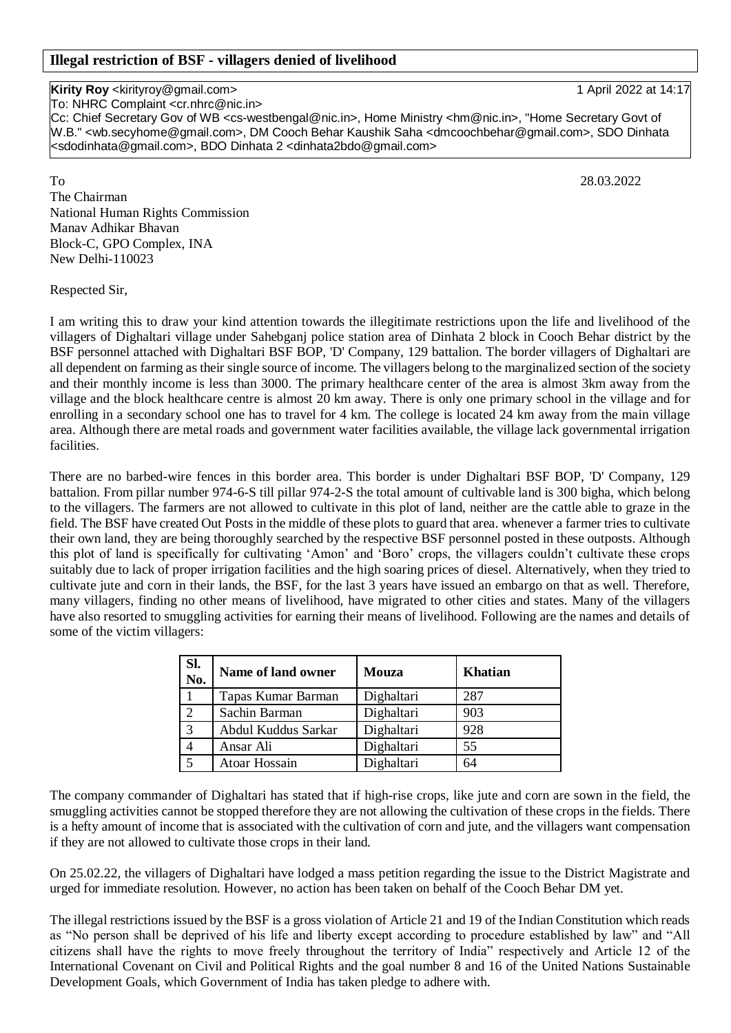## **Kirity Roy** <kirityroy@gmail.com> 1 April 2022 at 14:17

To: NHRC Complaint <cr.nhrc@nic.in>

Cc: Chief Secretary Gov of WB <cs-westbengal@nic.in>, Home Ministry <hm@nic.in>, "Home Secretary Govt of W.B." <wb.secyhome@gmail.com>, DM Cooch Behar Kaushik Saha <dmcoochbehar@gmail.com>, SDO Dinhata <sdodinhata@gmail.com>, BDO Dinhata 2 <dinhata2bdo@gmail.com>

To 28.03.2022 The Chairman National Human Rights Commission Manav Adhikar Bhavan Block-C, GPO Complex, INA New Delhi-110023

Respected Sir,

I am writing this to draw your kind attention towards the illegitimate restrictions upon the life and livelihood of the villagers of Dighaltari village under Sahebganj police station area of Dinhata 2 block in Cooch Behar district by the BSF personnel attached with Dighaltari BSF BOP, 'D' Company, 129 battalion. The border villagers of Dighaltari are all dependent on farming as their single source of income. The villagers belong to the marginalized section of the society and their monthly income is less than 3000. The primary healthcare center of the area is almost 3km away from the village and the block healthcare centre is almost 20 km away. There is only one primary school in the village and for enrolling in a secondary school one has to travel for 4 km. The college is located 24 km away from the main village area. Although there are metal roads and government water facilities available, the village lack governmental irrigation facilities.

There are no barbed-wire fences in this border area. This border is under Dighaltari BSF BOP, 'D' Company, 129 battalion. From pillar number 974-6-S till pillar 974-2-S the total amount of cultivable land is 300 bigha, which belong to the villagers. The farmers are not allowed to cultivate in this plot of land, neither are the cattle able to graze in the field. The BSF have created Out Posts in the middle of these plots to guard that area. whenever a farmer tries to cultivate their own land, they are being thoroughly searched by the respective BSF personnel posted in these outposts. Although this plot of land is specifically for cultivating 'Amon' and 'Boro' crops, the villagers couldn't cultivate these crops suitably due to lack of proper irrigation facilities and the high soaring prices of diesel. Alternatively, when they tried to cultivate jute and corn in their lands, the BSF, for the last 3 years have issued an embargo on that as well. Therefore, many villagers, finding no other means of livelihood, have migrated to other cities and states. Many of the villagers have also resorted to smuggling activities for earning their means of livelihood. Following are the names and details of some of the victim villagers:

| Sl.<br>No. | Name of land owner   | <b>Mouza</b> | <b>Khatian</b> |
|------------|----------------------|--------------|----------------|
|            | Tapas Kumar Barman   | Dighaltari   | 287            |
| 2          | Sachin Barman        | Dighaltari   | 903            |
| 3          | Abdul Kuddus Sarkar  | Dighaltari   | 928            |
|            | Ansar Ali            | Dighaltari   | 55             |
|            | <b>Atoar Hossain</b> | Dighaltari   | 64             |

The company commander of Dighaltari has stated that if high-rise crops, like jute and corn are sown in the field, the smuggling activities cannot be stopped therefore they are not allowing the cultivation of these crops in the fields. There is a hefty amount of income that is associated with the cultivation of corn and jute, and the villagers want compensation if they are not allowed to cultivate those crops in their land.

On 25.02.22, the villagers of Dighaltari have lodged a mass petition regarding the issue to the District Magistrate and urged for immediate resolution. However, no action has been taken on behalf of the Cooch Behar DM yet.

The illegal restrictions issued by the BSF is a gross violation of Article 21 and 19 of the Indian Constitution which reads as "No person shall be deprived of his life and liberty except according to procedure established by law" and "All citizens shall have the rights to move freely throughout the territory of India" respectively and Article 12 of the International Covenant on Civil and Political Rights and the goal number 8 and 16 of the United Nations Sustainable Development Goals, which Government of India has taken pledge to adhere with.